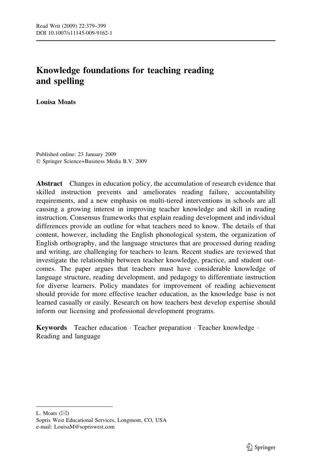# Knowledge foundations for teaching reading and spelling

Louisa Moats

Published online: 23 January 2009 Springer Science+Business Media B.V. 2009

Abstract Changes in education policy, the accumulation of research evidence that skilled instruction prevents and ameliorates reading failure, accountability requirements, and a new emphasis on multi-tiered interventions in schools are all causing a growing interest in improving teacher knowledge and skill in reading instruction. Consensus frameworks that explain reading development and individual differences provide an outline for what teachers need to know. The details of that content, however, including the English phonological system, the organization of English orthography, and the language structures that are processed during reading and writing, are challenging for teachers to learn. Recent studies are reviewed that investigate the relationship between teacher knowledge, practice, and student outcomes. The paper argues that teachers must have considerable knowledge of language structure, reading development, and pedagogy to differentiate instruction for diverse learners. Policy mandates for improvement of reading achievement should provide for more effective teacher education, as the knowledge base is not learned casually or easily. Research on how teachers best develop expertise should inform our licensing and professional development programs.

Keywords Teacher education · Teacher preparation · Teacher knowledge · Reading and language

L. Moats  $(\boxtimes)$ 

Sopris West Educational Services, Longmont, CO, USA e-mail: LouisaM@sopriswest.com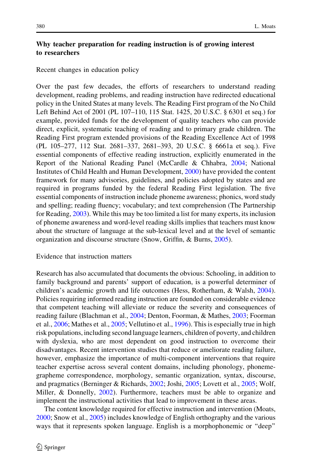## Why teacher preparation for reading instruction is of growing interest to researchers

Recent changes in education policy

Over the past few decades, the efforts of researchers to understand reading development, reading problems, and reading instruction have redirected educational policy in the United States at many levels. The Reading First program of the No Child Left Behind Act of 2001 (PL 107–110, 115 Stat. 1425, 20 U.S.C. § 6301 et seq.) for example, provided funds for the development of quality teachers who can provide direct, explicit, systematic teaching of reading and to primary grade children. The Reading First program extended provisions of the Reading Excellence Act of 1998 (PL 105–277, 112 Stat. 2681–337, 2681–393, 20 U.S.C. § 6661a et seq.). Five essential components of effective reading instruction, explicitly enumerated in the Report of the National Reading Panel (McCardle & Chhabra, [2004;](#page-19-0) National Institutes of Child Health and Human Development, [2000](#page-19-0)) have provided the content framework for many advisories, guidelines, and policies adopted by states and are required in programs funded by the federal Reading First legislation. The five essential components of instruction include phoneme awareness; phonics, word study and spelling; reading fluency; vocabulary; and text comprehension (The Partnership for Reading, [2003](#page-20-0)). While this may be too limited a list for many experts, its inclusion of phoneme awareness and word-level reading skills implies that teachers must know about the structure of language at the sub-lexical level and at the level of semantic organization and discourse structure (Snow, Griffin, & Burns, [2005](#page-19-0)).

Evidence that instruction matters

Research has also accumulated that documents the obvious: Schooling, in addition to family background and parents' support of education, is a powerful determiner of children's academic growth and life outcomes (Hess, Rotherham, & Walsh, [2004\)](#page-18-0). Policies requiring informed reading instruction are founded on considerable evidence that competent teaching will alleviate or reduce the severity and consequences of reading failure (Blachman et al., [2004](#page-17-0); Denton, Foorman, & Mathes, [2003](#page-18-0); Foorman et al., [2006;](#page-18-0) Mathes et al., [2005](#page-19-0); Vellutino et al., [1996](#page-20-0)). This is especially true in high risk populations, including second language learners, children of poverty, and children with dyslexia, who are most dependent on good instruction to overcome their disadvantages. Recent intervention studies that reduce or ameliorate reading failure, however, emphasize the importance of multi-component interventions that require teacher expertise across several content domains, including phonology, phonemegrapheme correspondence, morphology, semantic organization, syntax, discourse, and pragmatics (Berninger & Richards, [2002;](#page-17-0) Joshi, [2005](#page-18-0); Lovett et al., [2005](#page-18-0); Wolf, Miller, & Donnelly, [2002](#page-20-0)). Furthermore, teachers must be able to organize and implement the instructional activities that lead to improvement in these areas.

The content knowledge required for effective instruction and intervention (Moats, [2000;](#page-19-0) Snow et al., [2005\)](#page-19-0) includes knowledge of English orthography and the various ways that it represents spoken language. English is a morphophonemic or "deep"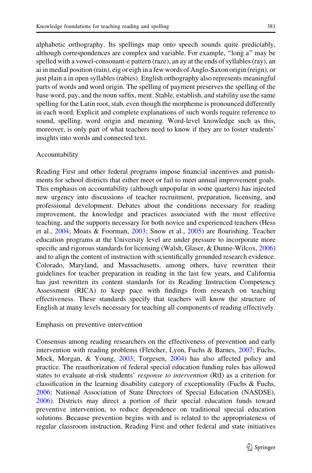alphabetic orthography. Its spellings map onto speech sounds quite predictably, although correspondences are complex and variable. For example, ''long a'' may be spelled with a vowel-consonant-e pattern (raze), an ay at the ends of syllables (ray), an ai in medial position (rain), eig or eigh in a few words of Anglo-Saxon origin (reign), or just plain a in open syllables (rabies). English orthography also represents meaningful parts of words and word origin. The spelling of payment preserves the spelling of the base word, pay, and the noun suffix, ment. Stable, establish, and stability use the same spelling for the Latin root, stab, even though the morpheme is pronounced differently in each word. Explicit and complete explanations of such words require reference to sound, spelling, word origin and meaning. Word-level knowledge such as this, moreover, is only part of what teachers need to know if they are to foster students' insights into words and connected text.

## Accountability

Reading First and other federal programs impose financial incentives and punishments for school districts that either meet or fail to meet annual improvement goals. This emphasis on accountability (although unpopular in some quarters) has injected new urgency into discussions of teacher recruitment, preparation, licensing, and professional development. Debates about the conditions necessary for reading improvement, the knowledge and practices associated with the most effective teaching, and the supports necessary for both novice and experienced teachers (Hess et al., [2004](#page-18-0); Moats & Foorman, [2003](#page-19-0); Snow et al., [2005](#page-19-0)) are flourishing. Teacher education programs at the University level are under pressure to incorporate more specific and rigorous standards for licensing (Walsh, Glaser, & Dunne-Wilcox, [2006](#page-20-0)) and to align the content of instruction with scientifically grounded research evidence. Colorado, Maryland, and Massachusetts, among others, have rewritten their guidelines for teacher preparation in reading in the last few years, and California has just rewritten its content standards for its Reading Instruction Competency Assessment (RICA) to keep pace with findings from research on teaching effectiveness. These standards specify that teachers will know the structure of English at many levels necessary for teaching all components of reading effectively.

Emphasis on preventive intervention

Consensus among reading researchers on the effectiveness of prevention and early intervention with reading problems (Fletcher, Lyon, Fuchs & Barnes, [2007](#page-18-0); Fuchs, Mock, Morgan, & Young, [2003;](#page-18-0) Torgesen, [2004\)](#page-20-0) has also affected policy and practice. The reauthorization of federal special education funding rules has allowed states to evaluate at-risk students' response to intervention (RtI) as a criterion for classification in the learning disability category of exceptionality (Fuchs & Fuchs, [2006;](#page-18-0) National Association of State Directors of Special Education (NASDSE), [2006\)](#page-19-0). Districts may direct a portion of their special education funds toward preventive intervention, to reduce dependence on traditional special education solutions. Because prevention begins with and is related to the appropriateness of regular classroom instruction, Reading First and other federal and state initiatives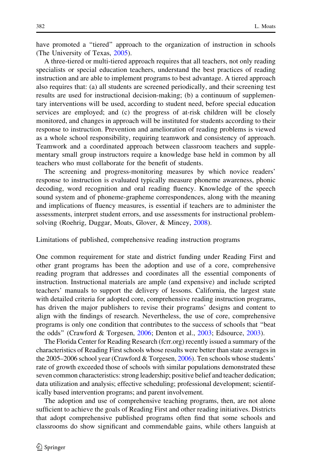have promoted a ''tiered'' approach to the organization of instruction in schools (The University of Texas, [2005](#page-20-0)).

A three-tiered or multi-tiered approach requires that all teachers, not only reading specialists or special education teachers, understand the best practices of reading instruction and are able to implement programs to best advantage. A tiered approach also requires that: (a) all students are screened periodically, and their screening test results are used for instructional decision-making; (b) a continuum of supplementary interventions will be used, according to student need, before special education services are employed; and (c) the progress of at-risk children will be closely monitored, and changes in approach will be instituted for students according to their response to instruction. Prevention and amelioration of reading problems is viewed as a whole school responsibility, requiring teamwork and consistency of approach. Teamwork and a coordinated approach between classroom teachers and supplementary small group instructors require a knowledge base held in common by all teachers who must collaborate for the benefit of students.

The screening and progress-monitoring measures by which novice readers' response to instruction is evaluated typically measure phoneme awareness, phonic decoding, word recognition and oral reading fluency. Knowledge of the speech sound system and of phoneme-grapheme correspondences, along with the meaning and implications of fluency measures, is essential if teachers are to administer the assessments, interpret student errors, and use assessments for instructional problemsolving (Roehrig, Duggar, Moats, Glover, & Mincey, [2008\)](#page-19-0).

Limitations of published, comprehensive reading instruction programs

One common requirement for state and district funding under Reading First and other grant programs has been the adoption and use of a core, comprehensive reading program that addresses and coordinates all the essential components of instruction. Instructional materials are ample (and expensive) and include scripted teachers' manuals to support the delivery of lessons. California, the largest state with detailed criteria for adopted core, comprehensive reading instruction programs, has driven the major publishers to revise their programs' designs and content to align with the findings of research. Nevertheless, the use of core, comprehensive programs is only one condition that contributes to the success of schools that ''beat the odds'' (Crawford & Torgesen, [2006](#page-18-0); Denton et al., [2003](#page-18-0); Edsource, [2003](#page-18-0)).

The Florida Center for Reading Research (fcrr.org) recently issued a summary of the characteristics of Reading First schools whose results were better than state averages in the 2005–2006 school year (Crawford & Torgesen, [2006](#page-18-0)). Ten schools whose students' rate of growth exceeded those of schools with similar populations demonstrated these seven common characteristics: strong leadership; positive belief and teacher dedication; data utilization and analysis; effective scheduling; professional development; scientifically based intervention programs; and parent involvement.

The adoption and use of comprehensive teaching programs, then, are not alone sufficient to achieve the goals of Reading First and other reading initiatives. Districts that adopt comprehensive published programs often find that some schools and classrooms do show significant and commendable gains, while others languish at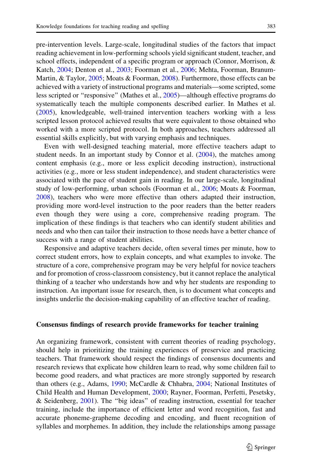pre-intervention levels. Large-scale, longitudinal studies of the factors that impact reading achievement in low-performing schools yield significant student, teacher, and school effects, independent of a specific program or approach (Connor, Morrison, & Katch, [2004](#page-17-0); Denton et al., [2003](#page-18-0); Foorman et al., [2006;](#page-18-0) Mehta, Foorman, Branum-Martin, & Taylor, [2005](#page-19-0); Moats & Foorman, [2008\)](#page-19-0). Furthermore, those effects can be achieved with a variety of instructional programs and materials—some scripted, some less scripted or ''responsive'' (Mathes et al., [2005\)](#page-19-0)—although effective programs do systematically teach the multiple components described earlier. In Mathes et al. [\(2005](#page-19-0)), knowledgeable, well-trained intervention teachers working with a less scripted lesson protocol achieved results that were equivalent to those obtained who worked with a more scripted protocol. In both approaches, teachers addressed all essential skills explicitly, but with varying emphasis and techniques.

Even with well-designed teaching material, more effective teachers adapt to student needs. In an important study by Connor et al. [\(2004](#page-17-0)), the matches among content emphasis (e.g., more or less explicit decoding instruction), instructional activities (e.g., more or less student independence), and student characteristics were associated with the pace of student gain in reading. In our large-scale, longitudinal study of low-performing, urban schools (Foorman et al., [2006](#page-18-0); Moats & Foorman, [2008\)](#page-19-0), teachers who were more effective than others adapted their instruction, providing more word-level instruction to the poor readers than the better readers even though they were using a core, comprehensive reading program. The implication of these findings is that teachers who can identify student abilities and needs and who then can tailor their instruction to those needs have a better chance of success with a range of student abilities.

Responsive and adaptive teachers decide, often several times per minute, how to correct student errors, how to explain concepts, and what examples to invoke. The structure of a core, comprehensive program may be very helpful for novice teachers and for promotion of cross-classroom consistency, but it cannot replace the analytical thinking of a teacher who understands how and why her students are responding to instruction. An important issue for research, then, is to document what concepts and insights underlie the decision-making capability of an effective teacher of reading.

#### Consensus findings of research provide frameworks for teacher training

An organizing framework, consistent with current theories of reading psychology, should help in prioritizing the training experiences of preservice and practicing teachers. That framework should respect the findings of consensus documents and research reviews that explicate how children learn to read, why some children fail to become good readers, and what practices are more strongly supported by research than others (e.g., Adams, [1990;](#page-17-0) McCardle & Chhabra, [2004](#page-19-0); National Institutes of Child Health and Human Development, [2000;](#page-19-0) Rayner, Foorman, Perfetti, Pesetsky, & Seidenberg, [2001](#page-19-0)). The ''big ideas'' of reading instruction, essential for teacher training, include the importance of efficient letter and word recognition, fast and accurate phoneme-grapheme decoding and encoding, and fluent recognition of syllables and morphemes. In addition, they include the relationships among passage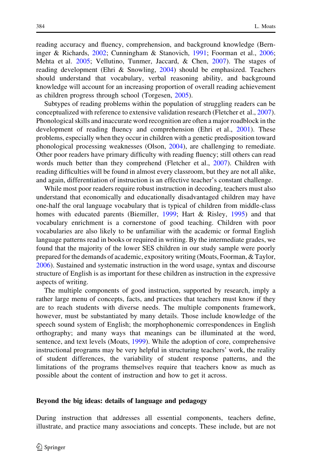reading accuracy and fluency, comprehension, and background knowledge (Berninger & Richards, [2002;](#page-17-0) Cunningham & Stanovich, [1991](#page-18-0); Foorman et al., [2006;](#page-18-0) Mehta et al. [2005](#page-19-0); Vellutino, Tunmer, Jaccard, & Chen, [2007\)](#page-20-0). The stages of reading development (Ehri & Snowling, [2004\)](#page-18-0) should be emphasized. Teachers should understand that vocabulary, verbal reasoning ability, and background knowledge will account for an increasing proportion of overall reading achievement as children progress through school (Torgesen, [2005](#page-20-0)).

Subtypes of reading problems within the population of struggling readers can be conceptualized with reference to extensive validation research (Fletcher et al., [2007\)](#page-18-0). Phonological skills and inaccurate word recognition are often a major roadblock in the development of reading fluency and comprehension (Ehri et al., [2001](#page-18-0)). These problems, especially when they occur in children with a genetic predisposition toward phonological processing weaknesses (Olson, [2004\)](#page-19-0), are challenging to remediate. Other poor readers have primary difficulty with reading fluency; still others can read words much better than they comprehend (Fletcher et al., [2007](#page-18-0)). Children with reading difficulties will be found in almost every classroom, but they are not all alike, and again, differentiation of instruction is an effective teacher's constant challenge.

While most poor readers require robust instruction in decoding, teachers must also understand that economically and educationally disadvantaged children may have one-half the oral language vocabulary that is typical of children from middle-class homes with educated parents (Biemiller, [1999;](#page-17-0) Hart & Risley, [1995](#page-18-0)) and that vocabulary enrichment is a cornerstone of good teaching. Children with poor vocabularies are also likely to be unfamiliar with the academic or formal English language patterns read in books or required in writing. By the intermediate grades, we found that the majority of the lower SES children in our study sample were poorly prepared for the demands of academic, expository writing (Moats, Foorman, & Taylor, [2006\)](#page-19-0). Sustained and systematic instruction in the word usage, syntax and discourse structure of English is as important for these children as instruction in the expressive aspects of writing.

The multiple components of good instruction, supported by research, imply a rather large menu of concepts, facts, and practices that teachers must know if they are to reach students with diverse needs. The multiple components framework, however, must be substantiated by many details. Those include knowledge of the speech sound system of English; the morphophonemic correspondences in English orthography; and many ways that meanings can be illuminated at the word, sentence, and text levels (Moats, [1999](#page-19-0)). While the adoption of core, comprehensive instructional programs may be very helpful in structuring teachers' work, the reality of student differences, the variability of student response patterns, and the limitations of the programs themselves require that teachers know as much as possible about the content of instruction and how to get it across.

### Beyond the big ideas: details of language and pedagogy

During instruction that addresses all essential components, teachers define, illustrate, and practice many associations and concepts. These include, but are not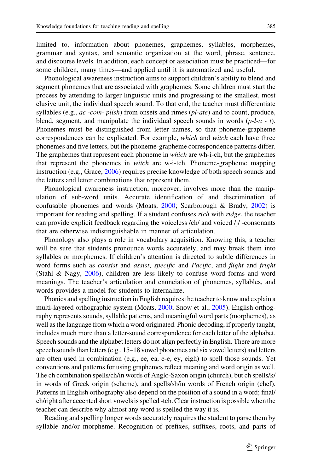limited to, information about phonemes, graphemes, syllables, morphemes, grammar and syntax, and semantic organization at the word, phrase, sentence, and discourse levels. In addition, each concept or association must be practiced—for some children, many times—and applied until it is automatized and useful.

Phonological awareness instruction aims to support children's ability to blend and segment phonemes that are associated with graphemes. Some children must start the process by attending to larger linguistic units and progressing to the smallest, most elusive unit, the individual speech sound. To that end, the teacher must differentiate syllables (e.g.,  $ac$  -com- plish) from onsets and rimes ( $pl-ate$ ) and to count, produce, blend, segment, and manipulate the individual speech sounds in words  $(p-l-\bar{a}-t)$ . Phonemes must be distinguished from letter names, so that phoneme-grapheme correspondences can be explicated. For example, *which* and *witch* each have three phonemes and five letters, but the phoneme-grapheme correspondence patterns differ. The graphemes that represent each phoneme in which are wh-i-ch, but the graphemes that represent the phonemes in witch are w-i-tch. Phoneme-grapheme mapping instruction (e.g., Grace, [2006](#page-18-0)) requires precise knowledge of both speech sounds and the letters and letter combinations that represent them.

Phonological awareness instruction, moreover, involves more than the manipulation of sub-word units. Accurate identification of and discrimination of confusable phonemes and words (Moats,  $2000$ ; Scarborough & Brady,  $2002$ ) is important for reading and spelling. If a student confuses rich with ridge, the teacher can provide explicit feedback regarding the voiceless /ch/ and voiced /j/ -consonants that are otherwise indistinguishable in manner of articulation.

Phonology also plays a role in vocabulary acquisition. Knowing this, a teacher will be sure that students pronounce words accurately, and may break them into syllables or morphemes. If children's attention is directed to subtle differences in word forms such as consist and assist, specific and Pacific, and flight and fright (Stahl & Nagy, [2006\)](#page-20-0), children are less likely to confuse word forms and word meanings. The teacher's articulation and enunciation of phonemes, syllables, and words provides a model for students to internalize.

Phonics and spelling instruction in English requires the teacher to know and explain a multi-layered orthographic system (Moats, [2000](#page-19-0); Snow et al., [2005](#page-19-0)). English orthography represents sounds, syllable patterns, and meaningful word parts (morphemes), as well as the language from which a word originated. Phonic decoding, if properly taught, includes much more than a letter-sound correspondence for each letter of the alphabet. Speech sounds and the alphabet letters do not align perfectly in English. There are more speech sounds than letters (e.g., 15–18 vowel phonemes and six vowel letters) and letters are often used in combination (e.g., ee, ea, e-e, ey, eigh) to spell those sounds. Yet conventions and patterns for using graphemes reflect meaning and word origin as well. The ch combination spells/ch/in words of Anglo-Saxon origin (church), but ch spells/k/ in words of Greek origin (scheme), and spells/sh/in words of French origin (chef). Patterns in English orthography also depend on the position of a sound in a word; final/ ch/right after accented short vowels is spelled -tch. Clear instruction is possible when the teacher can describe why almost any word is spelled the way it is.

Reading and spelling longer words accurately requires the student to parse them by syllable and/or morpheme. Recognition of prefixes, suffixes, roots, and parts of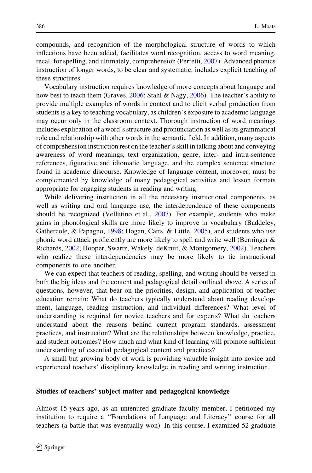compounds, and recognition of the morphological structure of words to which inflections have been added, facilitates word recognition, access to word meaning, recall for spelling, and ultimately, comprehension (Perfetti, [2007\)](#page-19-0). Advanced phonics instruction of longer words, to be clear and systematic, includes explicit teaching of these structures.

Vocabulary instruction requires knowledge of more concepts about language and how best to teach them (Graves, [2006](#page-18-0); Stahl & Nagy, [2006](#page-20-0)). The teacher's ability to provide multiple examples of words in context and to elicit verbal production from students is a key to teaching vocabulary, as children's exposure to academic language may occur only in the classroom context. Thorough instruction of word meanings includes explication of a word's structure and pronunciation as well as its grammatical role and relationship with other words in the semantic field. In addition, many aspects of comprehension instruction rest on the teacher's skill in talking about and conveying awareness of word meanings, text organization, genre, inter- and intra-sentence references, figurative and idiomatic language, and the complex sentence structure found in academic discourse. Knowledge of language content, moreover, must be complemented by knowledge of many pedagogical activities and lesson formats appropriate for engaging students in reading and writing.

While delivering instruction in all the necessary instructional components, as well as writing and oral language use, the interdependence of these components should be recognized (Vellutino et al., [2007\)](#page-20-0). For example, students who make gains in phonological skills are more likely to improve in vocabulary (Baddeley, Gathercole, & Papagno, [1998](#page-17-0); Hogan, Catts, & Little, [2005\)](#page-18-0), and students who use phonic word attack proficiently are more likely to spell and write well (Berninger & Richards, [2002;](#page-17-0) Hooper, Swartz, Wakely, deKruif, & Montgomery, [2002\)](#page-18-0). Teachers who realize these interdependencies may be more likely to tie instructional components to one another.

We can expect that teachers of reading, spelling, and writing should be versed in both the big ideas and the content and pedagogical detail outlined above. A series of questions, however, that bear on the priorities, design, and application of teacher education remain: What do teachers typically understand about reading development, language, reading instruction, and individual differences? What level of understanding is required for novice teachers and for experts? What do teachers understand about the reasons behind current program standards, assessment practices, and instruction? What are the relationships between knowledge, practice, and student outcomes? How much and what kind of learning will promote sufficient understanding of essential pedagogical content and practices?

A small but growing body of work is providing valuable insight into novice and experienced teachers' disciplinary knowledge in reading and writing instruction.

#### Studies of teachers' subject matter and pedagogical knowledge

Almost 15 years ago, as an untenured graduate faculty member, I petitioned my institution to require a ''Foundations of Language and Literacy'' course for all teachers (a battle that was eventually won). In this course, I examined 52 graduate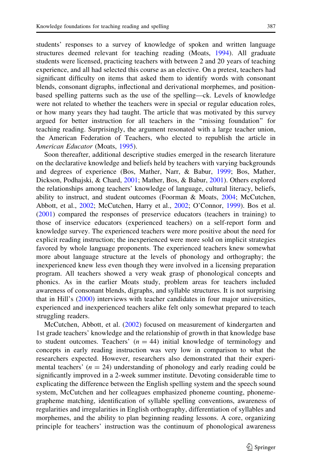students' responses to a survey of knowledge of spoken and written language structures deemed relevant for teaching reading (Moats, [1994\)](#page-19-0). All graduate students were licensed, practicing teachers with between 2 and 20 years of teaching experience, and all had selected this course as an elective. On a pretest, teachers had significant difficulty on items that asked them to identify words with consonant blends, consonant digraphs, inflectional and derivational morphemes, and positionbased spelling patterns such as the use of the spelling—ck. Levels of knowledge were not related to whether the teachers were in special or regular education roles, or how many years they had taught. The article that was motivated by this survey argued for better instruction for all teachers in the ''missing foundation'' for teaching reading. Surprisingly, the argument resonated with a large teacher union, the American Federation of Teachers, who elected to republish the article in American Educator (Moats, [1995\)](#page-19-0).

Soon thereafter, additional descriptive studies emerged in the research literature on the declarative knowledge and beliefs held by teachers with varying backgrounds and degrees of experience (Bos, Mather, Narr, & Babur, [1999](#page-17-0); Bos, Mather, Dickson, Podhajski, & Chard, [2001;](#page-17-0) Mather, Bos, & Babur, [2001](#page-19-0)). Others explored the relationships among teachers' knowledge of language, cultural literacy, beliefs, ability to instruct, and student outcomes (Foorman & Moats, [2004](#page-18-0); McCutchen, Abbott, et al., [2002;](#page-19-0) McCutchen, Harry et al., [2002](#page-19-0); O'Connor, [1999\)](#page-19-0). Bos et al. [\(2001](#page-17-0)) compared the responses of preservice educators (teachers in training) to those of inservice educators (experienced teachers) on a self-report form and knowledge survey. The experienced teachers were more positive about the need for explicit reading instruction; the inexperienced were more sold on implicit strategies favored by whole language proponents. The experienced teachers knew somewhat more about language structure at the levels of phonology and orthography; the inexperienced knew less even though they were involved in a licensing preparation program. All teachers showed a very weak grasp of phonological concepts and phonics. As in the earlier Moats study, problem areas for teachers included awareness of consonant blends, digraphs, and syllable structures. It is not surprising that in Hill's [\(2000](#page-18-0)) interviews with teacher candidates in four major universities, experienced and inexperienced teachers alike felt only somewhat prepared to teach struggling readers.

McCutchen, Abbott, et al. [\(2002\)](#page-19-0) focused on measurement of kindergarten and 1st grade teachers' knowledge and the relationship of growth in that knowledge base to student outcomes. Teachers'  $(n = 44)$  initial knowledge of terminology and concepts in early reading instruction was very low in comparison to what the researchers expected. However, researchers also demonstrated that their experimental teachers'  $(n = 24)$  understanding of phonology and early reading could be significantly improved in a 2-week summer institute. Devoting considerable time to explicating the difference between the English spelling system and the speech sound system, McCutchen and her colleagues emphasized phoneme counting, phonemegrapheme matching, identification of syllable spelling conventions, awareness of regularities and irregularities in English orthography, differentiation of syllables and morphemes, and the ability to plan beginning reading lessons. A core, organizing principle for teachers' instruction was the continuum of phonological awareness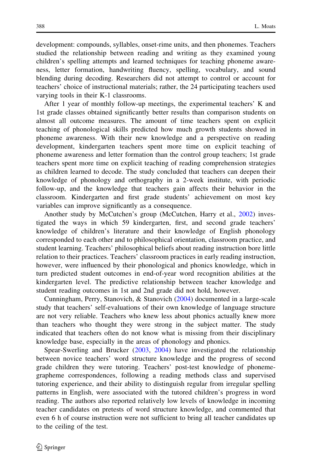development: compounds, syllables, onset-rime units, and then phonemes. Teachers studied the relationship between reading and writing as they examined young children's spelling attempts and learned techniques for teaching phoneme awareness, letter formation, handwriting fluency, spelling, vocabulary, and sound blending during decoding. Researchers did not attempt to control or account for teachers' choice of instructional materials; rather, the 24 participating teachers used varying tools in their K-1 classrooms.

After 1 year of monthly follow-up meetings, the experimental teachers' K and 1st grade classes obtained significantly better results than comparison students on almost all outcome measures. The amount of time teachers spent on explicit teaching of phonological skills predicted how much growth students showed in phoneme awareness. With their new knowledge and a perspective on reading development, kindergarten teachers spent more time on explicit teaching of phoneme awareness and letter formation than the control group teachers; 1st grade teachers spent more time on explicit teaching of reading comprehension strategies as children learned to decode. The study concluded that teachers can deepen their knowledge of phonology and orthography in a 2-week institute, with periodic follow-up, and the knowledge that teachers gain affects their behavior in the classroom. Kindergarten and first grade students' achievement on most key variables can improve significantly as a consequence.

Another study by McCutchen's group (McCutchen, Harry et al., [2002](#page-19-0)) investigated the ways in which 59 kindergarten, first, and second grade teachers' knowledge of children's literature and their knowledge of English phonology corresponded to each other and to philosophical orientation, classroom practice, and student learning. Teachers' philosophical beliefs about reading instruction bore little relation to their practices. Teachers' classroom practices in early reading instruction, however, were influenced by their phonological and phonics knowledge, which in turn predicted student outcomes in end-of-year word recognition abilities at the kindergarten level. The predictive relationship between teacher knowledge and student reading outcomes in 1st and 2nd grade did not hold, however.

Cunningham, Perry, Stanovich, & Stanovich ([2004\)](#page-18-0) documented in a large-scale study that teachers' self-evaluations of their own knowledge of language structure are not very reliable. Teachers who knew less about phonics actually knew more than teachers who thought they were strong in the subject matter. The study indicated that teachers often do not know what is missing from their disciplinary knowledge base, especially in the areas of phonology and phonics.

Spear-Swerling and Brucker ([2003,](#page-20-0) [2004\)](#page-20-0) have investigated the relationship between novice teachers' word structure knowledge and the progress of second grade children they were tutoring. Teachers' post-test knowledge of phonemegrapheme correspondences, following a reading methods class and supervised tutoring experience, and their ability to distinguish regular from irregular spelling patterns in English, were associated with the tutored children's progress in word reading. The authors also reported relatively low levels of knowledge in incoming teacher candidates on pretests of word structure knowledge, and commented that even 6 h of course instruction were not sufficient to bring all teacher candidates up to the ceiling of the test.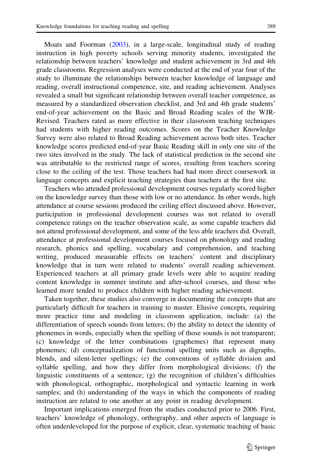Moats and Foorman ([2003\)](#page-19-0), in a large-scale, longitudinal study of reading instruction in high poverty schools serving minority students, investigated the relationship between teachers' knowledge and student achievement in 3rd and 4th grade classrooms. Regression analyses were conducted at the end of year four of the study to illuminate the relationships between teacher knowledge of language and reading, overall instructional competence, site, and reading achievement. Analyses revealed a small but significant relationship between overall teacher competence, as measured by a standardized observation checklist, and 3rd and 4th grade students' end-of-year achievement on the Basic and Broad Reading scales of the WJR-Revised. Teachers rated as more effective in their classroom teaching techniques had students with higher reading outcomes. Scores on the Teacher Knowledge Survey were also related to Broad Reading achievement across both sites. Teacher knowledge scores predicted end-of-year Basic Reading skill in only one site of the two sites involved in the study. The lack of statistical prediction in the second site was attributable to the restricted range of scores, resulting from teachers scoring close to the ceiling of the test. Those teachers had had more direct coursework in language concepts and explicit teaching strategies than teachers at the first site.

Teachers who attended professional development courses regularly scored higher on the knowledge survey than those with low or no attendance. In other words, high attendance at course sessions produced the ceiling effect discussed above. However, participation in professional development courses was not related to overall competence ratings on the teacher observation scale, as some capable teachers did not attend professional development, and some of the less able teachers did. Overall, attendance at professional development courses focused on phonology and reading research, phonics and spelling, vocabulary and comprehension, and teaching writing, produced measurable effects on teachers' content and disciplinary knowledge that in turn were related to students' overall reading achievement. Experienced teachers at all primary grade levels were able to acquire reading content knowledge in summer institute and after-school courses, and those who learned more tended to produce children with higher reading achievement.

Taken together, these studies also converge in documenting the concepts that are particularly difficult for teachers in training to master. Elusive concepts, requiring more practice time and modeling in classroom application, include: (a) the differentiation of speech sounds from letters; (b) the ability to detect the identity of phonemes in words, especially when the spelling of those sounds is not transparent; (c) knowledge of the letter combinations (graphemes) that represent many phonemes; (d) conceptualization of functional spelling units such as digraphs, blends, and silent-letter spellings; (e) the conventions of syllable division and syllable spelling, and how they differ from morphological divisions; (f) the linguistic constituents of a sentence; (g) the recognition of children's difficulties with phonological, orthographic, morphological and syntactic learning in work samples; and (h) understanding of the ways in which the components of reading instruction are related to one another at any point in reading development.

Important implications emerged from the studies conducted prior to 2006. First, teachers' knowledge of phonology, orthography, and other aspects of language is often underdeveloped for the purpose of explicit, clear, systematic teaching of basic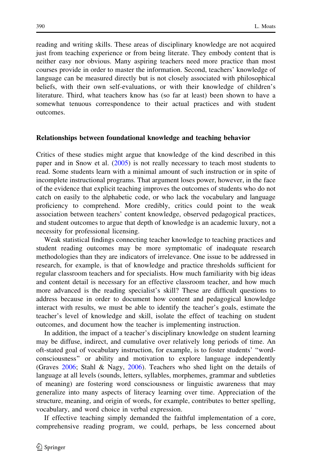reading and writing skills. These areas of disciplinary knowledge are not acquired just from teaching experience or from being literate. They embody content that is neither easy nor obvious. Many aspiring teachers need more practice than most courses provide in order to master the information. Second, teachers' knowledge of language can be measured directly but is not closely associated with philosophical beliefs, with their own self-evaluations, or with their knowledge of children's literature. Third, what teachers know has (so far at least) been shown to have a somewhat tenuous correspondence to their actual practices and with student outcomes.

#### Relationships between foundational knowledge and teaching behavior

Critics of these studies might argue that knowledge of the kind described in this paper and in Snow et al. ([2005\)](#page-19-0) is not really necessary to teach most students to read. Some students learn with a minimal amount of such instruction or in spite of incomplete instructional programs. That argument loses power, however, in the face of the evidence that explicit teaching improves the outcomes of students who do not catch on easily to the alphabetic code, or who lack the vocabulary and language proficiency to comprehend. More credibly, critics could point to the weak association between teachers' content knowledge, observed pedagogical practices, and student outcomes to argue that depth of knowledge is an academic luxury, not a necessity for professional licensing.

Weak statistical findings connecting teacher knowledge to teaching practices and student reading outcomes may be more symptomatic of inadequate research methodologies than they are indicators of irrelevance. One issue to be addressed in research, for example, is that of knowledge and practice thresholds sufficient for regular classroom teachers and for specialists. How much familiarity with big ideas and content detail is necessary for an effective classroom teacher, and how much more advanced is the reading specialist's skill? These are difficult questions to address because in order to document how content and pedagogical knowledge interact with results, we must be able to identify the teacher's goals, estimate the teacher's level of knowledge and skill, isolate the effect of teaching on student outcomes, and document how the teacher is implementing instruction.

In addition, the impact of a teacher's disciplinary knowledge on student learning may be diffuse, indirect, and cumulative over relatively long periods of time. An oft-stated goal of vocabulary instruction, for example, is to foster students' ''wordconsciousness'' or ability and motivation to explore language independently (Graves [2006](#page-18-0); Stahl & Nagy, [2006](#page-20-0)). Teachers who shed light on the details of language at all levels (sounds, letters, syllables, morphemes, grammar and subtleties of meaning) are fostering word consciousness or linguistic awareness that may generalize into many aspects of literacy learning over time. Appreciation of the structure, meaning, and origin of words, for example, contributes to better spelling, vocabulary, and word choice in verbal expression.

If effective teaching simply demanded the faithful implementation of a core, comprehensive reading program, we could, perhaps, be less concerned about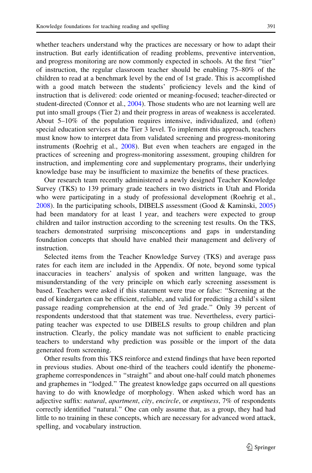whether teachers understand why the practices are necessary or how to adapt their instruction. But early identification of reading problems, preventive intervention, and progress monitoring are now commonly expected in schools. At the first ''tier'' of instruction, the regular classroom teacher should be enabling 75–80% of the children to read at a benchmark level by the end of 1st grade. This is accomplished with a good match between the students' proficiency levels and the kind of instruction that is delivered: code oriented or meaning-focused; teacher-directed or student-directed (Connor et al., [2004\)](#page-17-0). Those students who are not learning well are put into small groups (Tier 2) and their progress in areas of weakness is accelerated. About 5–10% of the population requires intensive, individualized, and (often) special education services at the Tier 3 level. To implement this approach, teachers must know how to interpret data from validated screening and progress-monitoring instruments (Roehrig et al., [2008](#page-19-0)). But even when teachers are engaged in the practices of screening and progress-monitoring assessment, grouping children for instruction, and implementing core and supplementary programs, their underlying knowledge base may be insufficient to maximize the benefits of these practices.

Our research team recently administered a newly designed Teacher Knowledge Survey (TKS) to 139 primary grade teachers in two districts in Utah and Florida who were participating in a study of professional development (Roehrig et al., [2008\)](#page-19-0). In the participating schools, DIBELS assessment (Good  $\&$  Kaminski, [2005](#page-18-0)) had been mandatory for at least 1 year, and teachers were expected to group children and tailor instruction according to the screening test results. On the TKS, teachers demonstrated surprising misconceptions and gaps in understanding foundation concepts that should have enabled their management and delivery of instruction.

Selected items from the Teacher Knowledge Survey (TKS) and average pass rates for each item are included in the Appendix. Of note, beyond some typical inaccuracies in teachers' analysis of spoken and written language, was the misunderstanding of the very principle on which early screening assessment is based. Teachers were asked if this statement were true or false: ''Screening at the end of kindergarten can be efficient, reliable, and valid for predicting a child's silent passage reading comprehension at the end of 3rd grade.'' Only 39 percent of respondents understood that that statement was true. Nevertheless, every participating teacher was expected to use DIBELS results to group children and plan instruction. Clearly, the policy mandate was not sufficient to enable practicing teachers to understand why prediction was possible or the import of the data generated from screening.

Other results from this TKS reinforce and extend findings that have been reported in previous studies. About one-third of the teachers could identify the phonemegrapheme correspondences in ''straight'' and about one-half could match phonemes and graphemes in ''lodged.'' The greatest knowledge gaps occurred on all questions having to do with knowledge of morphology. When asked which word has an adjective suffix: natural, apartment, city, encircle, or emptiness, 7% of respondents correctly identified ''natural.'' One can only assume that, as a group, they had had little to no training in these concepts, which are necessary for advanced word attack, spelling, and vocabulary instruction.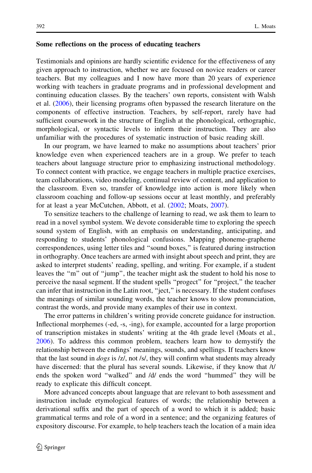#### Some reflections on the process of educating teachers

Testimonials and opinions are hardly scientific evidence for the effectiveness of any given approach to instruction, whether we are focused on novice readers or career teachers. But my colleagues and I now have more than 20 years of experience working with teachers in graduate programs and in professional development and continuing education classes. By the teachers' own reports, consistent with Walsh et al. ([2006\)](#page-20-0), their licensing programs often bypassed the research literature on the components of effective instruction. Teachers, by self-report, rarely have had sufficient coursework in the structure of English at the phonological, orthographic, morphological, or syntactic levels to inform their instruction. They are also unfamiliar with the procedures of systematic instruction of basic reading skill.

In our program, we have learned to make no assumptions about teachers' prior knowledge even when experienced teachers are in a group. We prefer to teach teachers about language structure prior to emphasizing instructional methodology. To connect content with practice, we engage teachers in multiple practice exercises, team collaborations, video modeling, continual review of content, and application to the classroom. Even so, transfer of knowledge into action is more likely when classroom coaching and follow-up sessions occur at least monthly, and preferably for at least a year McCutchen, Abbott, et al. ([2002;](#page-19-0) Moats, [2007\)](#page-19-0).

To sensitize teachers to the challenge of learning to read, we ask them to learn to read in a novel symbol system. We devote considerable time to exploring the speech sound system of English, with an emphasis on understanding, anticipating, and responding to students' phonological confusions. Mapping phoneme-grapheme correspondences, using letter tiles and ''sound boxes,'' is featured during instruction in orthography. Once teachers are armed with insight about speech and print, they are asked to interpret students' reading, spelling, and writing. For example, if a student leaves the "m" out of "jump", the teacher might ask the student to hold his nose to perceive the nasal segment. If the student spells ''progect'' for ''project,'' the teacher can infer that instruction in the Latin root, ''ject,'' is necessary. If the student confuses the meanings of similar sounding words, the teacher knows to slow pronunciation, contrast the words, and provide many examples of their use in context.

The error patterns in children's writing provide concrete guidance for instruction. Inflectional morphemes (-ed, -s, -ing), for example, accounted for a large proportion of transcription mistakes in students' writing at the 4th grade level (Moats et al., [2006\)](#page-19-0). To address this common problem, teachers learn how to demystify the relationship between the endings' meanings, sounds, and spellings. If teachers know that the last sound in  $dogs$  is  $|z|$ , not  $|s|$ , they will confirm what students may already have discerned: that the plural has several sounds. Likewise, if they know that  $/t/$ ends the spoken word ''walked'' and /d/ ends the word ''hummed'' they will be ready to explicate this difficult concept.

More advanced concepts about language that are relevant to both assessment and instruction include etymological features of words; the relationship between a derivational suffix and the part of speech of a word to which it is added; basic grammatical terms and role of a word in a sentence; and the organizing features of expository discourse. For example, to help teachers teach the location of a main idea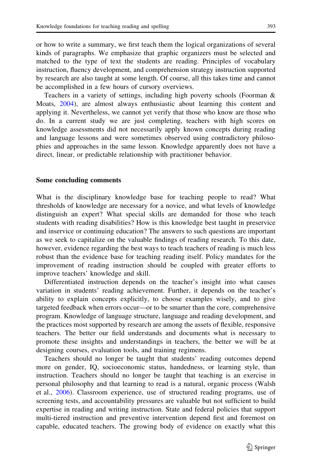or how to write a summary, we first teach them the logical organizations of several kinds of paragraphs. We emphasize that graphic organizers must be selected and matched to the type of text the students are reading. Principles of vocabulary instruction, fluency development, and comprehension strategy instruction supported by research are also taught at some length. Of course, all this takes time and cannot be accomplished in a few hours of cursory overviews.

Teachers in a variety of settings, including high poverty schools (Foorman & Moats, [2004](#page-18-0)), are almost always enthusiastic about learning this content and applying it. Nevertheless, we cannot yet verify that those who know are those who do. In a current study we are just completing, teachers with high scores on knowledge assessments did not necessarily apply known concepts during reading and language lessons and were sometimes observed using contradictory philosophies and approaches in the same lesson. Knowledge apparently does not have a direct, linear, or predictable relationship with practitioner behavior.

#### Some concluding comments

What is the disciplinary knowledge base for teaching people to read? What thresholds of knowledge are necessary for a novice, and what levels of knowledge distinguish an expert? What special skills are demanded for those who teach students with reading disabilities? How is this knowledge best taught in preservice and inservice or continuing education? The answers to such questions are important as we seek to capitalize on the valuable findings of reading research. To this date, however, evidence regarding the best ways to teach teachers of reading is much less robust than the evidence base for teaching reading itself. Policy mandates for the improvement of reading instruction should be coupled with greater efforts to improve teachers' knowledge and skill.

Differentiated instruction depends on the teacher's insight into what causes variation in students' reading achievement. Further, it depends on the teacher's ability to explain concepts explicitly, to choose examples wisely, and to give targeted feedback when errors occur—or to be smarter than the core, comprehensive program. Knowledge of language structure, language and reading development, and the practices most supported by research are among the assets of flexible, responsive teachers. The better our field understands and documents what is necessary to promote these insights and understandings in teachers, the better we will be at designing courses, evaluation tools, and training regimens.

Teachers should no longer be taught that students' reading outcomes depend more on gender, IQ, socioeconomic status, handedness, or learning style, than instruction. Teachers should no longer be taught that teaching is an exercise in personal philosophy and that learning to read is a natural, organic process (Walsh et al., [2006](#page-20-0)). Classroom experience, use of structured reading programs, use of screening tests, and accountability pressures are valuable but not sufficient to build expertise in reading and writing instruction. State and federal policies that support multi-tiered instruction and preventive intervention depend first and foremost on capable, educated teachers. The growing body of evidence on exactly what this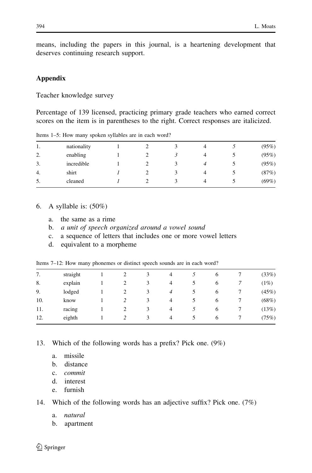means, including the papers in this journal, is a heartening development that deserves continuing research support.

### Appendix

Teacher knowledge survey

Percentage of 139 licensed, practicing primary grade teachers who earned correct scores on the item is in parentheses to the right. Correct responses are italicized.

Items 1–5: How many spoken syllables are in each word?

| 1. | nationality |  |   | (95%) |
|----|-------------|--|---|-------|
| 2. | enabling    |  |   | (95%) |
| 3. | incredible  |  |   | (95%) |
| 4. | shirt       |  |   | (87%) |
| 5. | cleaned     |  | 4 | (69%) |

#### 6. A syllable is: (50%)

- a. the same as a rime
- b. a unit of speech organized around a vowel sound
- c. a sequence of letters that includes one or more vowel letters
- d. equivalent to a morpheme

| 7.  | straight | 2 | 3 | 4              | O          | (33%) |
|-----|----------|---|---|----------------|------------|-------|
| 8.  | explain  | 2 | 3 | 4              | O          | (1%)  |
| 9.  | lodged   | 2 | 3 | 4              | O          | (45%) |
| 10. | know     | 2 | 3 | $\overline{4}$ | $\circ$    | (68%) |
| 11. | racing   | 2 | 3 | 4              | 6          | (13%) |
| 12. | eighth   |   | 3 | $\overline{4}$ | $\epsilon$ | (75%) |

Items 7–12: How many phonemes or distinct speech sounds are in each word?

13. Which of the following words has a prefix? Pick one. (9%)

- a. missile
- b. distance
- c. commit
- d. interest
- e. furnish

14. Which of the following words has an adjective suffix? Pick one. (7%)

- a. natural
- b. apartment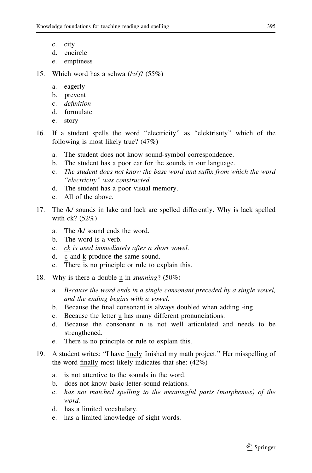- c. city
- d. encircle
- e. emptiness
- 15. Which word has a schwa (/ $\sigma$ /)? (55%)
	- a. eagerly
	- b. prevent
	- c. definition
	- d. formulate
	- e. story
- 16. If a student spells the word ''electricity'' as ''elektrisuty'' which of the following is most likely true? (47%)
	- a. The student does not know sound-symbol correspondence.
	- b. The student has a poor ear for the sounds in our language.
	- c. The student does not know the base word and suffix from which the word ''electricity'' was constructed.
	- d. The student has a poor visual memory.
	- e. All of the above.
- 17. The /k/ sounds in lake and lack are spelled differently. Why is lack spelled with ck? (52%)
	- a. The /k/ sound ends the word.
	- b. The word is a verb.
	- c. ck is used immediately after a short vowel.
	- d. c and k produce the same sound.
	- e. There is no principle or rule to explain this.
- 18. Why is there a double n in stunning? (50%)
	- a. Because the word ends in a single consonant preceded by a single vowel, and the ending begins with a vowel.
	- b. Because the final consonant is always doubled when adding -ing.
	- c. Because the letter u has many different pronunciations.
	- d. Because the consonant n is not well articulated and needs to be strengthened.
	- e. There is no principle or rule to explain this.
- 19. A student writes: ''I have finely finished my math project.'' Her misspelling of the word finally most likely indicates that she: (42%)
	- a. is not attentive to the sounds in the word.
	- b. does not know basic letter-sound relations.
	- c. has not matched spelling to the meaningful parts (morphemes) of the word.
	- d. has a limited vocabulary.
	- e. has a limited knowledge of sight words.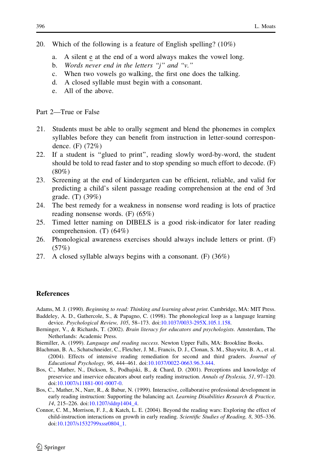- <span id="page-17-0"></span>20. Which of the following is a feature of English spelling? (10%)
	- a. A silent e at the end of a word always makes the vowel long.
	- b. Words never end in the letters " $i$ " and " $v$ ."
	- c. When two vowels go walking, the first one does the talking.
	- d. A closed syllable must begin with a consonant.
	- e. All of the above.

Part 2—True or False

- 21. Students must be able to orally segment and blend the phonemes in complex syllables before they can benefit from instruction in letter-sound correspondence. (F) (72%)
- 22. If a student is ''glued to print'', reading slowly word-by-word, the student should be told to read faster and to stop spending so much effort to decode. (F) (80%)
- 23. Screening at the end of kindergarten can be efficient, reliable, and valid for predicting a child's silent passage reading comprehension at the end of 3rd grade. (T) (39%)
- 24. The best remedy for a weakness in nonsense word reading is lots of practice reading nonsense words. (F) (65%)
- 25. Timed letter naming on DIBELS is a good risk-indicator for later reading comprehension. (T) (64%)
- 26. Phonological awareness exercises should always include letters or print. (F) (57%)
- 27. A closed syllable always begins with a consonant. (F) (36%)

## **References**

Adams, M. J. (1990). Beginning to read: Thinking and learning about print. Cambridge, MA: MIT Press. Baddeley, A. D., Gathercole, S., & Papagno, C. (1998). The phonological loop as a language learning

- device. Psychological Review, 105, 58–173. doi:[10.1037/0033-295X.105.1.158.](http://dx.doi.org/10.1037/0033-295X.105.1.158)
- Berninger, V., & Richards, T. (2002). Brain literacy for educators and psychologists. Amsterdam, The Netherlands: Academic Press.
- Biemiller, A. (1999). Language and reading success. Newton Upper Falls, MA: Brookline Books.
- Blachman, B. A., Schatschneider, C., Fletcher, J. M., Francis, D. J., Clonan, S. M., Shaywitz, B. A., et al. (2004). Effects of intensive reading remediation for second and third graders. Journal of Educational Psychology, 96, 444–461. doi:[10.1037/0022-0663.96.3.444.](http://dx.doi.org/10.1037/0022-0663.96.3.444)
- Bos, C., Mather, N., Dickson, S., Podhajski, B., & Chard, D. (2001). Perceptions and knowledge of preservice and inservice educators about early reading instruction. Annals of Dyslexia, 51, 97–120. doi[:10.1007/s11881-001-0007-0](http://dx.doi.org/10.1007/s11881-001-0007-0).
- Bos, C., Mather, N., Narr, R., & Babur, N. (1999). Interactive, collaborative professional development in early reading instruction: Supporting the balancing act. Learning Disabilities Research & Practice, 14, 215–226. doi:[10.1207/sldrp1404\\_4](http://dx.doi.org/10.1207/sldrp1404_4).
- Connor, C. M., Morrison, F. J., & Katch, L. E. (2004). Beyond the reading wars: Exploring the effect of child-instruction interactions on growth in early reading. Scientific Studies of Reading, 8, 305–336. doi[:10.1207/s1532799xssr0804\\_1.](http://dx.doi.org/10.1207/s1532799xssr0804_1)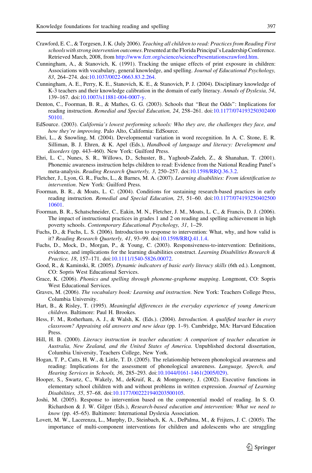- <span id="page-18-0"></span>Crawford, E. C., & Torgesen, J. K. (July 2006). Teaching all children to read: Practices from Reading First schools with strong intervention outcomes. Presented at the Florida Principal's Leadership Conference. Retrieved March, 2008, from [http://www.fcrr.org/science/sciencePresentationscrawford.htm.](http://www.fcrr.org/science/sciencePresentationscrawford.htm)
- Cunningham, A., & Stanovich, K. (1991). Tracking the unique effects of print exposure in children: Associations with vocabulary, general knowledge, and spelling. Journal of Educational Psychology, 83, 264–274. doi:[10.1037/0022-0663.83.2.264.](http://dx.doi.org/10.1037/0022-0663.83.2.264)
- Cunningham, A. E., Perry, K. E., Stanovich, K. E., & Stanovich, P. J. (2004). Disciplinary knowledge of K-3 teachers and their knowledge calibration in the domain of early literacy. Annals of Dyslexia, 54, 139–167. doi:[10.1007/s11881-004-0007-y.](http://dx.doi.org/10.1007/s11881-004-0007-y)
- Denton, C., Foorman, B. R., & Mathes, G. G. (2003). Schools that ''Beat the Odds'': Implications for reading instruction. Remedial and Special Education, 24, 258–261. doi:[10.1177/074193250302400](http://dx.doi.org/10.1177/07419325030240050101) [50101.](http://dx.doi.org/10.1177/07419325030240050101)
- EdSource. (2003). California's lowest performing schools: Who they are, the challenges they face, and how they're improving. Palo Alto, California: EdSource.
- Ehri, L., & Snowling, M. (2004). Developmental variation in word recognition. In A. C. Stone, E. R. Silliman, B. J. Ehren, & K. Apel (Eds.), Handbook of language and literacy: Development and disorders (pp. 443–460). New York: Guilford Press.
- Ehri, L. C., Nunes, S. R., Willows, D., Schuster, B., Yaghoub-Zadeh, Z., & Shanahan, T. (2001). Phonemic awareness instruction helps children to read: Evidence from the National Reading Panel's meta-analysis. Reading Research Quarterly, 3, 250–257. doi:[10.1598/RRQ.36.3.2.](http://dx.doi.org/10.1598/RRQ.36.3.2)
- Fletcher, J., Lyon, G. R., Fuchs, L., & Barnes, M. A. (2007). Learning disabilities: From identification to intervention. New York: Guilford Press.
- Foorman, B. R., & Moats, L. C. (2004). Conditions for sustaining research-based practices in early reading instruction. Remedial and Special Education, 25, 51–60. doi:[10.1177/074193250402500](http://dx.doi.org/10.1177/07419325040250010601) [10601.](http://dx.doi.org/10.1177/07419325040250010601)
- Foorman, B. R., Schatschneider, C., Eakin, M. N., Fletcher, J. M., Moats, L. C., & Francis, D. J. (2006). The impact of instructional practices in grades 1 and 2 on reading and spelling achievement in high poverty schools. Contemporary Educational Psychology, 31, 1–29.
- Fuchs, D., & Fuchs, L. S. (2006). Introduction to response to intervention: What, why, and how valid is it? Reading Research Quarterly, 41, 93–99. doi:[10.1598/RRQ.41.1.4](http://dx.doi.org/10.1598/RRQ.41.1.4).
- Fuchs, D., Mock, D., Morgan, P., & Young, C. (2003). Responsiveness-to-intervention: Definitions, evidence, and implications for the learning disabilities construct. Learning Disabilities Research  $\&$ Practice, 18, 157–171. doi[:10.1111/1540-5826.00072.](http://dx.doi.org/10.1111/1540-5826.00072)
- Good, R., & Kaminski, R. (2005). Dynamic indicators of basic early literacy skills (6th ed.). Longmont, CO: Sopris West Educational Services.
- Grace, K. (2006). Phonics and spelling through phoneme-grapheme mapping. Longmont, CO: Sopris West Educational Services.
- Graves, M. (2006). The vocabulary book: Learning and instruction. New York: Teachers College Press, Columbia University.
- Hart, B., & Risley, T. (1995). Meaningful differences in the everyday experience of young American children. Baltimore: Paul H. Brookes.
- Hess, F. M., Rotherham, A. J., & Walsh, K. (Eds.). (2004). Introduction. A qualified teacher in every classroom? Appraising old answers and new ideas (pp. 1–9). Cambridge, MA: Harvard Education Press.
- Hill, H. B. (2000). Literacy instruction in teacher education: A comparison of teacher education in Australia, New Zealand, and the United States of America. Unpublished doctoral dissertation, Columbia University, Teachers College, New York.
- Hogan, T. P., Catts, H. W., & Little, T. D. (2005). The relationship between phonological awareness and reading: Implications for the assessment of phonological awareness. Language, Speech, and Hearing Services in Schools, 36, 285–293. doi[:10.1044/0161-1461\(2005/029\).](http://dx.doi.org/10.1044/0161-1461(2005/029))
- Hooper, S., Swartz, C., Wakely, M., deKruif, R., & Montgomery, J. (2002). Executive functions in elementary school children with and without problems in written expression. Journal of Learning Disabilities, 35, 57–68. doi[:10.1177/002221940203500105.](http://dx.doi.org/10.1177/002221940203500105)
- Joshi, M. (2005). Response to intervention based on the componential model of reading. In S. O. Richardson & J. W. Gilger (Eds.), Research-based education and intervention: What we need to know (pp. 45–65). Baltimore: International Dyslexia Association.
- Lovett, M. W., Lacerenza, L., Murphy, D., Steinbach, K. A., DePalma, M., & Frijters, J. C. (2005). The importance of multi-component interventions for children and adolescents who are struggling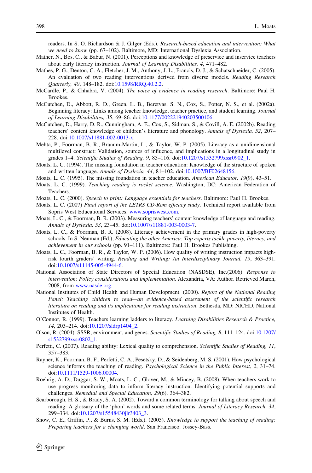<span id="page-19-0"></span>readers. In S. O. Richardson & J. Gilger (Eds.), Research-based education and intervention: What we need to know (pp. 67-102). Baltimore, MD: International Dyslexia Association.

- Mather, N., Bos, C., & Babur, N. (2001). Perceptions and knowledge of preservice and inservice teachers about early literacy instruction. Journal of Learning Disabilities, 4, 471–482.
- Mathes, P. G., Denton, C. A., Fletcher, J. M., Anthony, J. L., Francis, D. J., & Schatschneider, C. (2005). An evaluation of two reading interventions derived from diverse models. Reading Research Quarterly, 40, 148–182. doi:[10.1598/RRQ.40.2.2.](http://dx.doi.org/10.1598/RRQ.40.2.2)
- McCardle, P., & Chhabra, V. (2004). The voice of evidence in reading research. Baltimore: Paul H. Brookes.
- McCutchen, D., Abbott, R. D., Green, L. B., Beretvas, S. N., Cox, S., Potter, N. S., et al. (2002a). Beginning literacy: Links among teacher knowledge, teacher practice, and student learning. Journal of Learning Disabilities, 35, 69–86. doi:[10.1177/002221940203500106](http://dx.doi.org/10.1177/002221940203500106).
- McCutchen, D., Harry, D. R., Cunningham, A. E., Cox, S., Sidman, S., & Covill, A. E. (2002b). Reading teachers' content knowledge of children's literature and phonology. Annals of Dyslexia, 52, 207– 228. doi[:10.1007/s11881-002-0013-x.](http://dx.doi.org/10.1007/s11881-002-0013-x)
- Mehta, P., Foorman, B. R., Branum-Martin, L., & Taylor, W. P. (2005). Literacy as a unidimensional multilevel construct: Validation, sources of influence, and implications in a longitudinal study in grades 1–4. Scientific Studies of Reading, 9, 85–116. doi[:10.1207/s1532799xssr0902\\_1.](http://dx.doi.org/10.1207/s1532799xssr0902_1)
- Moats, L. C. (1994). The missing foundation in teacher education: Knowledge of the structure of spoken and written language. Annals of Dyslexia, 44, 81–102. doi:[10.1007/BF02648156](http://dx.doi.org/10.1007/BF02648156).
- Moats, L. C. (1995). The missing foundation in teacher education. American Educator, 19(9), 43–51.
- Moats, L. C. (1999). Teaching reading is rocket science. Washington, DC: American Federation of Teachers.
- Moats, L. C. (2000). Speech to print: Language essentials for teachers. Baltimore: Paul H. Brookes.
- Moats, L. C. (2007) Final report of the LETRS CD-Rom efficacy study. Technical report available from Sopris West Educational Services. [www.sopriswest.com.](http://www.sopriswest.com)
- Moats, L. C., & Foorman, B. R. (2003). Measuring teachers' content knowledge of language and reading. Annals of Dyslexia, 53, 23–45. doi:[10.1007/s11881-003-0003-7](http://dx.doi.org/10.1007/s11881-003-0003-7).
- Moats, L. C., & Foorman, B. R. (2008). Literacy achievement in the primary grades in high-poverty schools. In S. Neuman (Ed.), Educating the other America: Top experts tackle poverty, literacy, and achievement in our schools (pp. 91–111). Baltimore: Paul H. Brookes Publishing.
- Moats, L. C., Foorman, B. R., & Taylor, W. P. (2006). How quality of writing instruction impacts highrisk fourth graders' writing. Reading and Writing: An Interdisciplinary Journal, 19, 363–391. doi[:10.1007/s11145-005-4944-6](http://dx.doi.org/10.1007/s11145-005-4944-6).
- National Association of State Directors of Special Education (NASDSE), Inc.(2006). Response to intervention: Policy considerations and implementation. Alexandria, VA: Author. Retrieved March, 2008, from [www.nasde.org.](http://www.nasde.org)
- National Institutes of Child Health and Human Development. (2000). Report of the National Reading Panel: Teaching children to read—an evidence-based assessment of the scientific research literature on reading and its implications for reading instruction. Bethesda, MD: NICHD, National Institutes of Health.
- O'Connor, R. (1999). Teachers learning ladders to literacy. Learning Disabilities Research & Practice, 14, 203–214. doi:[10.1207/sldrp1404\\_2](http://dx.doi.org/10.1207/sldrp1404_2).
- Olson, R. (2004). SSSR, environment, and genes. Scientific Studies of Reading, 8, 111–124. doi[:10.1207/](http://dx.doi.org/10.1207/s1532799xssr0802_1) [s1532799xssr0802\\_1](http://dx.doi.org/10.1207/s1532799xssr0802_1).
- Perfetti, C. (2007). Reading ability: Lexical quality to comprehension. Scientific Studies of Reading, 11, 357–383.
- Rayner, K., Foorman, B. F., Perfetti, C. A., Pesetsky, D., & Seidenberg, M. S. (2001). How psychological science informs the teaching of reading. Psychological Science in the Public Interest, 2, 31-74. doi[:10.1111/1529-1006.00004.](http://dx.doi.org/10.1111/1529-1006.00004)
- Roehrig, A. D., Duggar, S. W., Moats, L. C., Glover, M., & Mincey, B. (2008). When teachers work to use progress monitoring data to inform literacy instruction: Identifying potential supports and challenges. Remedial and Special Education, 29(6), 364–382.
- Scarborough, H. S., & Brady, S. A. (2002). Toward a common terminology for talking about speech and reading: A glossary of the 'phon' words and some related terms. Journal of Literacy Research, 34, 299–334. doi:[10.1207/s15548430jlr3403\\_3.](http://dx.doi.org/10.1207/s15548430jlr3403_3)
- Snow, C. E., Griffin, P., & Burns, S. M. (Eds.). (2005). Knowledge to support the teaching of reading: Preparing teachers for a changing world. San Francisco: Jossey-Bass.